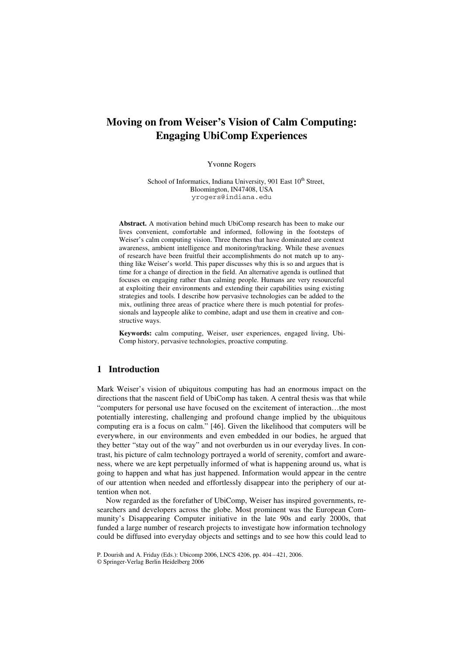# **Moving on from Weiser's Vision of Calm Computing: Engaging UbiComp Experiences**

Yvonne Rogers

School of Informatics, Indiana University, 901 East 10<sup>th</sup> Street, Bloomington, IN47408, USA yrogers@indiana.edu

**Abstract.** A motivation behind much UbiComp research has been to make our lives convenient, comfortable and informed, following in the footsteps of Weiser's calm computing vision. Three themes that have dominated are context awareness, ambient intelligence and monitoring/tracking. While these avenues of research have been fruitful their accomplishments do not match up to anything like Weiser's world. This paper discusses why this is so and argues that is time for a change of direction in the field. An alternative agenda is outlined that focuses on engaging rather than calming people. Humans are very resourceful at exploiting their environments and extending their capabilities using existing strategies and tools. I describe how pervasive technologies can be added to the mix, outlining three areas of practice where there is much potential for professionals and laypeople alike to combine, adapt and use them in creative and constructive ways.

**Keywords:** calm computing, Weiser, user experiences, engaged living, Ubi-Comp history, pervasive technologies, proactive computing.

# **1 Introduction**

Mark Weiser's vision of ubiquitous computing has had an enormous impact on the directions that the nascent field of UbiComp has taken. A central thesis was that while "computers for personal use have focused on the excitement of interaction…the most potentially interesting, challenging and profound change implied by the ubiquitous computing era is a focus on calm." [46]. Given the likelihood that computers will be everywhere, in our environments and even embedded in our bodies, he argued that they better "stay out of the way" and not overburden us in our everyday lives. In contrast, his picture of calm technology portrayed a world of serenity, comfort and awareness, where we are kept perpetually informed of what is happening around us, what is going to happen and what has just happened. Information would appear in the centre of our attention when needed and effortlessly disappear into the periphery of our attention when not.

Now regarded as the forefather of UbiComp, Weiser has inspired governments, researchers and developers across the globe. Most prominent was the European Community's Disappearing Computer initiative in the late 90s and early 2000s, that funded a large number of research projects to investigate how information technology could be diffused into everyday objects and settings and to see how this could lead to

P. Dourish and A. Friday (Eds.): Ubicomp 2006, LNCS 4206, pp. 404 – 421, 2006.

<sup>©</sup> Springer-Verlag Berlin Heidelberg 2006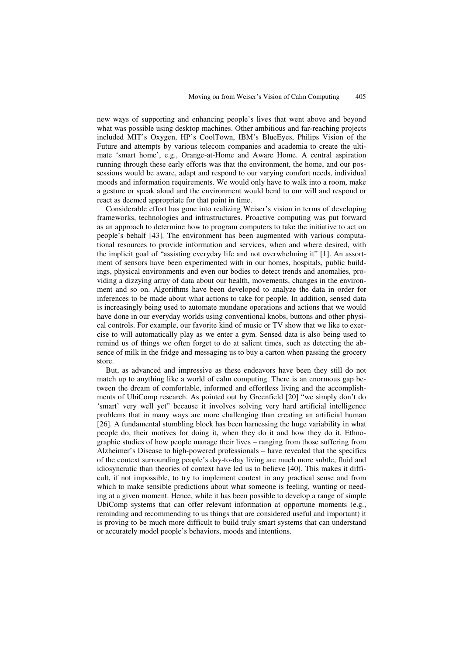new ways of supporting and enhancing people's lives that went above and beyond what was possible using desktop machines. Other ambitious and far-reaching projects included MIT's Oxygen, HP's CoolTown, IBM's BlueEyes, Philips Vision of the Future and attempts by various telecom companies and academia to create the ultimate 'smart home', e.g., Orange-at-Home and Aware Home. A central aspiration running through these early efforts was that the environment, the home, and our possessions would be aware, adapt and respond to our varying comfort needs, individual moods and information requirements. We would only have to walk into a room, make a gesture or speak aloud and the environment would bend to our will and respond or react as deemed appropriate for that point in time.

Considerable effort has gone into realizing Weiser's vision in terms of developing frameworks, technologies and infrastructures. Proactive computing was put forward as an approach to determine how to program computers to take the initiative to act on people's behalf [43]. The environment has been augmented with various computational resources to provide information and services, when and where desired, with the implicit goal of "assisting everyday life and not overwhelming it" [1]. An assortment of sensors have been experimented with in our homes, hospitals, public buildings, physical environments and even our bodies to detect trends and anomalies, providing a dizzying array of data about our health, movements, changes in the environment and so on. Algorithms have been developed to analyze the data in order for inferences to be made about what actions to take for people. In addition, sensed data is increasingly being used to automate mundane operations and actions that we would have done in our everyday worlds using conventional knobs, buttons and other physical controls. For example, our favorite kind of music or TV show that we like to exercise to will automatically play as we enter a gym. Sensed data is also being used to remind us of things we often forget to do at salient times, such as detecting the absence of milk in the fridge and messaging us to buy a carton when passing the grocery store.

But, as advanced and impressive as these endeavors have been they still do not match up to anything like a world of calm computing. There is an enormous gap between the dream of comfortable, informed and effortless living and the accomplishments of UbiComp research. As pointed out by Greenfield [20] "we simply don't do 'smart' very well yet" because it involves solving very hard artificial intelligence problems that in many ways are more challenging than creating an artificial human [26]. A fundamental stumbling block has been harnessing the huge variability in what people do, their motives for doing it, when they do it and how they do it. Ethnographic studies of how people manage their lives – ranging from those suffering from Alzheimer's Disease to high-powered professionals – have revealed that the specifics of the context surrounding people's day-to-day living are much more subtle, fluid and idiosyncratic than theories of context have led us to believe [40]. This makes it difficult, if not impossible, to try to implement context in any practical sense and from which to make sensible predictions about what someone is feeling, wanting or needing at a given moment. Hence, while it has been possible to develop a range of simple UbiComp systems that can offer relevant information at opportune moments (e.g., reminding and recommending to us things that are considered useful and important) it is proving to be much more difficult to build truly smart systems that can understand or accurately model people's behaviors, moods and intentions.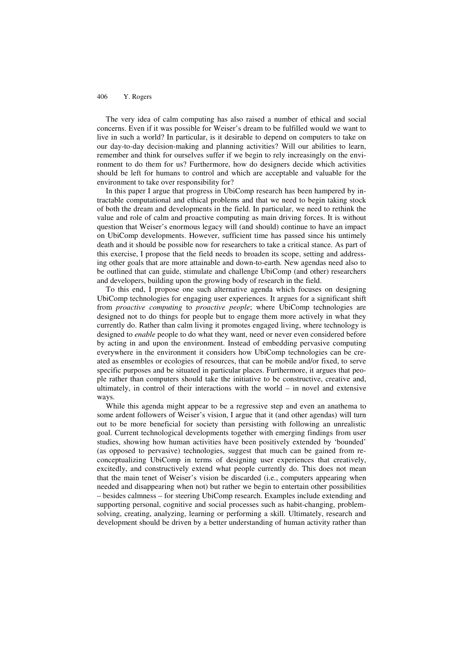The very idea of calm computing has also raised a number of ethical and social concerns. Even if it was possible for Weiser's dream to be fulfilled would we want to live in such a world? In particular, is it desirable to depend on computers to take on our day-to-day decision-making and planning activities? Will our abilities to learn, remember and think for ourselves suffer if we begin to rely increasingly on the environment to do them for us? Furthermore, how do designers decide which activities should be left for humans to control and which are acceptable and valuable for the environment to take over responsibility for?

In this paper I argue that progress in UbiComp research has been hampered by intractable computational and ethical problems and that we need to begin taking stock of both the dream and developments in the field. In particular, we need to rethink the value and role of calm and proactive computing as main driving forces. It is without question that Weiser's enormous legacy will (and should) continue to have an impact on UbiComp developments. However, sufficient time has passed since his untimely death and it should be possible now for researchers to take a critical stance. As part of this exercise, I propose that the field needs to broaden its scope, setting and addressing other goals that are more attainable and down-to-earth. New agendas need also to be outlined that can guide, stimulate and challenge UbiComp (and other) researchers and developers, building upon the growing body of research in the field.

To this end, I propose one such alternative agenda which focuses on designing UbiComp technologies for engaging user experiences. It argues for a significant shift from *proactive computing* to *proactive people*; where UbiComp technologies are designed not to do things for people but to engage them more actively in what they currently do. Rather than calm living it promotes engaged living, where technology is designed to *enable* people to do what they want, need or never even considered before by acting in and upon the environment. Instead of embedding pervasive computing everywhere in the environment it considers how UbiComp technologies can be created as ensembles or ecologies of resources, that can be mobile and/or fixed, to serve specific purposes and be situated in particular places. Furthermore, it argues that people rather than computers should take the initiative to be constructive, creative and, ultimately, in control of their interactions with the world – in novel and extensive ways.

While this agenda might appear to be a regressive step and even an anathema to some ardent followers of Weiser's vision, I argue that it (and other agendas) will turn out to be more beneficial for society than persisting with following an unrealistic goal. Current technological developments together with emerging findings from user studies, showing how human activities have been positively extended by 'bounded' (as opposed to pervasive) technologies, suggest that much can be gained from reconceptualizing UbiComp in terms of designing user experiences that creatively, excitedly, and constructively extend what people currently do. This does not mean that the main tenet of Weiser's vision be discarded (i.e., computers appearing when needed and disappearing when not) but rather we begin to entertain other possibilities – besides calmness – for steering UbiComp research. Examples include extending and supporting personal, cognitive and social processes such as habit-changing, problemsolving, creating, analyzing, learning or performing a skill. Ultimately, research and development should be driven by a better understanding of human activity rather than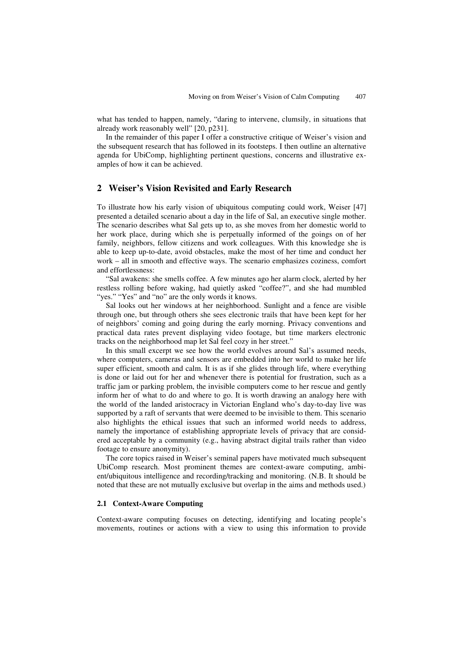what has tended to happen, namely, "daring to intervene, clumsily, in situations that already work reasonably well" [20, p231].

In the remainder of this paper I offer a constructive critique of Weiser's vision and the subsequent research that has followed in its footsteps. I then outline an alternative agenda for UbiComp, highlighting pertinent questions, concerns and illustrative examples of how it can be achieved.

# **2 Weiser's Vision Revisited and Early Research**

To illustrate how his early vision of ubiquitous computing could work, Weiser [47] presented a detailed scenario about a day in the life of Sal, an executive single mother. The scenario describes what Sal gets up to, as she moves from her domestic world to her work place, during which she is perpetually informed of the goings on of her family, neighbors, fellow citizens and work colleagues. With this knowledge she is able to keep up-to-date, avoid obstacles, make the most of her time and conduct her work – all in smooth and effective ways. The scenario emphasizes coziness, comfort and effortlessness:

"Sal awakens: she smells coffee. A few minutes ago her alarm clock, alerted by her restless rolling before waking, had quietly asked "coffee?", and she had mumbled "yes." "Yes" and "no" are the only words it knows.

Sal looks out her windows at her neighborhood. Sunlight and a fence are visible through one, but through others she sees electronic trails that have been kept for her of neighbors' coming and going during the early morning. Privacy conventions and practical data rates prevent displaying video footage, but time markers electronic tracks on the neighborhood map let Sal feel cozy in her street."

In this small excerpt we see how the world evolves around Sal's assumed needs, where computers, cameras and sensors are embedded into her world to make her life super efficient, smooth and calm. It is as if she glides through life, where everything is done or laid out for her and whenever there is potential for frustration, such as a traffic jam or parking problem, the invisible computers come to her rescue and gently inform her of what to do and where to go. It is worth drawing an analogy here with the world of the landed aristocracy in Victorian England who's day-to-day live was supported by a raft of servants that were deemed to be invisible to them. This scenario also highlights the ethical issues that such an informed world needs to address, namely the importance of establishing appropriate levels of privacy that are considered acceptable by a community (e.g., having abstract digital trails rather than video footage to ensure anonymity).

The core topics raised in Weiser's seminal papers have motivated much subsequent UbiComp research. Most prominent themes are context-aware computing, ambient/ubiquitous intelligence and recording/tracking and monitoring. (N.B. It should be noted that these are not mutually exclusive but overlap in the aims and methods used.)

#### **2.1 Context-Aware Computing**

Context-aware computing focuses on detecting, identifying and locating people's movements, routines or actions with a view to using this information to provide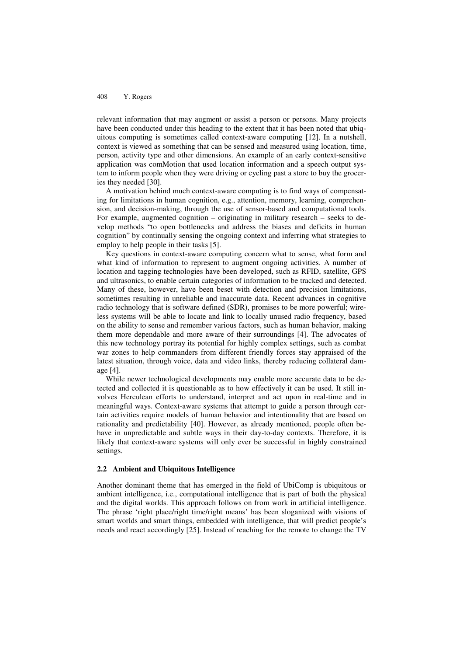relevant information that may augment or assist a person or persons. Many projects have been conducted under this heading to the extent that it has been noted that ubiquitous computing is sometimes called context-aware computing [12]. In a nutshell, context is viewed as something that can be sensed and measured using location, time, person, activity type and other dimensions. An example of an early context-sensitive application was comMotion that used location information and a speech output system to inform people when they were driving or cycling past a store to buy the groceries they needed [30].

A motivation behind much context-aware computing is to find ways of compensating for limitations in human cognition, e.g., attention, memory, learning, comprehension, and decision-making, through the use of sensor-based and computational tools. For example, augmented cognition – originating in military research – seeks to develop methods "to open bottlenecks and address the biases and deficits in human cognition" by continually sensing the ongoing context and inferring what strategies to employ to help people in their tasks [5].

Key questions in context-aware computing concern what to sense, what form and what kind of information to represent to augment ongoing activities. A number of location and tagging technologies have been developed, such as RFID, satellite, GPS and ultrasonics, to enable certain categories of information to be tracked and detected. Many of these, however, have been beset with detection and precision limitations, sometimes resulting in unreliable and inaccurate data. Recent advances in cognitive radio technology that is software defined (SDR), promises to be more powerful; wireless systems will be able to locate and link to locally unused radio frequency, based on the ability to sense and remember various factors, such as human behavior, making them more dependable and more aware of their surroundings [4]. The advocates of this new technology portray its potential for highly complex settings, such as combat war zones to help commanders from different friendly forces stay appraised of the latest situation, through voice, data and video links, thereby reducing collateral damage [4].

While newer technological developments may enable more accurate data to be detected and collected it is questionable as to how effectively it can be used. It still involves Herculean efforts to understand, interpret and act upon in real-time and in meaningful ways. Context-aware systems that attempt to guide a person through certain activities require models of human behavior and intentionality that are based on rationality and predictability [40]. However, as already mentioned, people often behave in unpredictable and subtle ways in their day-to-day contexts. Therefore, it is likely that context-aware systems will only ever be successful in highly constrained settings.

#### **2.2 Ambient and Ubiquitous Intelligence**

Another dominant theme that has emerged in the field of UbiComp is ubiquitous or ambient intelligence, i.e., computational intelligence that is part of both the physical and the digital worlds. This approach follows on from work in artificial intelligence. The phrase 'right place/right time/right means' has been sloganized with visions of smart worlds and smart things, embedded with intelligence, that will predict people's needs and react accordingly [25]. Instead of reaching for the remote to change the TV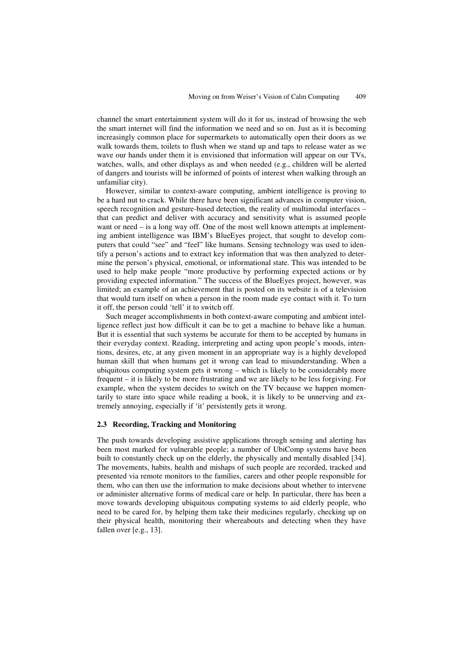channel the smart entertainment system will do it for us, instead of browsing the web the smart internet will find the information we need and so on. Just as it is becoming increasingly common place for supermarkets to automatically open their doors as we walk towards them, toilets to flush when we stand up and taps to release water as we wave our hands under them it is envisioned that information will appear on our TVs, watches, walls, and other displays as and when needed (e.g., children will be alerted of dangers and tourists will be informed of points of interest when walking through an unfamiliar city).

However, similar to context-aware computing, ambient intelligence is proving to be a hard nut to crack. While there have been significant advances in computer vision, speech recognition and gesture-based detection, the reality of multimodal interfaces – that can predict and deliver with accuracy and sensitivity what is assumed people want or need  $-$  is a long way off. One of the most well known attempts at implementing ambient intelligence was IBM's BlueEyes project, that sought to develop computers that could "see" and "feel" like humans. Sensing technology was used to identify a person's actions and to extract key information that was then analyzed to determine the person's physical, emotional, or informational state. This was intended to be used to help make people "more productive by performing expected actions or by providing expected information." The success of the BlueEyes project, however, was limited; an example of an achievement that is posted on its website is of a television that would turn itself on when a person in the room made eye contact with it. To turn it off, the person could 'tell' it to switch off.

Such meager accomplishments in both context-aware computing and ambient intelligence reflect just how difficult it can be to get a machine to behave like a human. But it is essential that such systems be accurate for them to be accepted by humans in their everyday context. Reading, interpreting and acting upon people's moods, intentions, desires, etc, at any given moment in an appropriate way is a highly developed human skill that when humans get it wrong can lead to misunderstanding. When a ubiquitous computing system gets it wrong – which is likely to be considerably more frequent – it is likely to be more frustrating and we are likely to be less forgiving. For example, when the system decides to switch on the TV because we happen momentarily to stare into space while reading a book, it is likely to be unnerving and extremely annoying, especially if 'it' persistently gets it wrong.

## **2.3 Recording, Tracking and Monitoring**

The push towards developing assistive applications through sensing and alerting has been most marked for vulnerable people; a number of UbiComp systems have been built to constantly check up on the elderly, the physically and mentally disabled [34]. The movements, habits, health and mishaps of such people are recorded, tracked and presented via remote monitors to the families, carers and other people responsible for them, who can then use the information to make decisions about whether to intervene or administer alternative forms of medical care or help. In particular, there has been a move towards developing ubiquitous computing systems to aid elderly people, who need to be cared for, by helping them take their medicines regularly, checking up on their physical health, monitoring their whereabouts and detecting when they have fallen over [e.g., 13].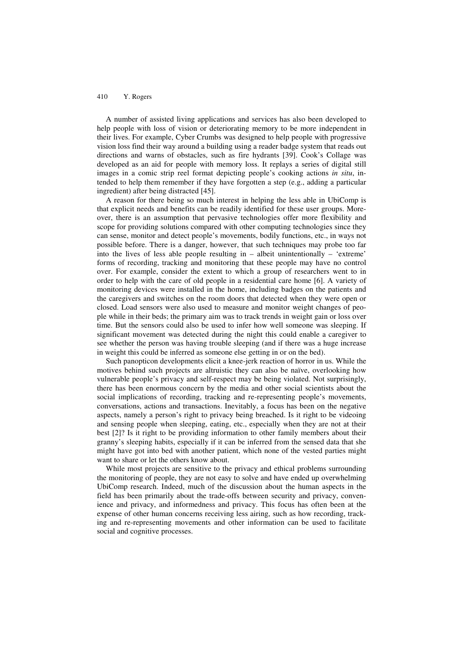A number of assisted living applications and services has also been developed to help people with loss of vision or deteriorating memory to be more independent in their lives. For example, Cyber Crumbs was designed to help people with progressive vision loss find their way around a building using a reader badge system that reads out directions and warns of obstacles, such as fire hydrants [39]. Cook's Collage was developed as an aid for people with memory loss. It replays a series of digital still images in a comic strip reel format depicting people's cooking actions *in situ*, intended to help them remember if they have forgotten a step (e.g., adding a particular ingredient) after being distracted [45].

A reason for there being so much interest in helping the less able in UbiComp is that explicit needs and benefits can be readily identified for these user groups. Moreover, there is an assumption that pervasive technologies offer more flexibility and scope for providing solutions compared with other computing technologies since they can sense, monitor and detect people's movements, bodily functions, etc., in ways not possible before. There is a danger, however, that such techniques may probe too far into the lives of less able people resulting in – albeit unintentionally – 'extreme' forms of recording, tracking and monitoring that these people may have no control over. For example, consider the extent to which a group of researchers went to in order to help with the care of old people in a residential care home [6]. A variety of monitoring devices were installed in the home, including badges on the patients and the caregivers and switches on the room doors that detected when they were open or closed. Load sensors were also used to measure and monitor weight changes of people while in their beds; the primary aim was to track trends in weight gain or loss over time. But the sensors could also be used to infer how well someone was sleeping. If significant movement was detected during the night this could enable a caregiver to see whether the person was having trouble sleeping (and if there was a huge increase in weight this could be inferred as someone else getting in or on the bed).

Such panopticon developments elicit a knee-jerk reaction of horror in us. While the motives behind such projects are altruistic they can also be naïve, overlooking how vulnerable people's privacy and self-respect may be being violated. Not surprisingly, there has been enormous concern by the media and other social scientists about the social implications of recording, tracking and re-representing people's movements, conversations, actions and transactions. Inevitably, a focus has been on the negative aspects, namely a person's right to privacy being breached. Is it right to be videoing and sensing people when sleeping, eating, etc., especially when they are not at their best [2]? Is it right to be providing information to other family members about their granny's sleeping habits, especially if it can be inferred from the sensed data that she might have got into bed with another patient, which none of the vested parties might want to share or let the others know about.

While most projects are sensitive to the privacy and ethical problems surrounding the monitoring of people, they are not easy to solve and have ended up overwhelming UbiComp research. Indeed, much of the discussion about the human aspects in the field has been primarily about the trade-offs between security and privacy, convenience and privacy, and informedness and privacy. This focus has often been at the expense of other human concerns receiving less airing, such as how recording, tracking and re-representing movements and other information can be used to facilitate social and cognitive processes.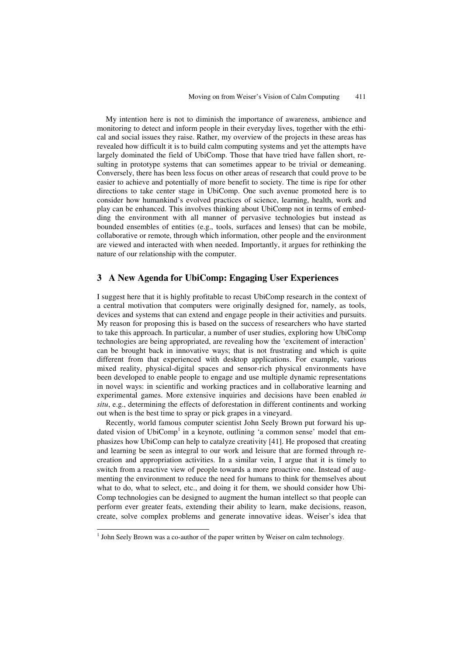My intention here is not to diminish the importance of awareness, ambience and monitoring to detect and inform people in their everyday lives, together with the ethical and social issues they raise. Rather, my overview of the projects in these areas has revealed how difficult it is to build calm computing systems and yet the attempts have largely dominated the field of UbiComp. Those that have tried have fallen short, resulting in prototype systems that can sometimes appear to be trivial or demeaning. Conversely, there has been less focus on other areas of research that could prove to be easier to achieve and potentially of more benefit to society. The time is ripe for other directions to take center stage in UbiComp. One such avenue promoted here is to consider how humankind's evolved practices of science, learning, health, work and play can be enhanced. This involves thinking about UbiComp not in terms of embedding the environment with all manner of pervasive technologies but instead as bounded ensembles of entities (e.g., tools, surfaces and lenses) that can be mobile, collaborative or remote, through which information, other people and the environment are viewed and interacted with when needed. Importantly, it argues for rethinking the nature of our relationship with the computer.

# **3 A New Agenda for UbiComp: Engaging User Experiences**

I suggest here that it is highly profitable to recast UbiComp research in the context of a central motivation that computers were originally designed for, namely, as tools, devices and systems that can extend and engage people in their activities and pursuits. My reason for proposing this is based on the success of researchers who have started to take this approach. In particular, a number of user studies, exploring how UbiComp technologies are being appropriated, are revealing how the 'excitement of interaction' can be brought back in innovative ways; that is not frustrating and which is quite different from that experienced with desktop applications. For example, various mixed reality, physical-digital spaces and sensor-rich physical environments have been developed to enable people to engage and use multiple dynamic representations in novel ways: in scientific and working practices and in collaborative learning and experimental games. More extensive inquiries and decisions have been enabled *in situ*, e.g., determining the effects of deforestation in different continents and working out when is the best time to spray or pick grapes in a vineyard.

Recently, world famous computer scientist John Seely Brown put forward his updated vision of UbiComp<sup>1</sup> in a keynote, outlining 'a common sense' model that emphasizes how UbiComp can help to catalyze creativity [41]. He proposed that creating and learning be seen as integral to our work and leisure that are formed through recreation and appropriation activities. In a similar vein, I argue that it is timely to switch from a reactive view of people towards a more proactive one. Instead of augmenting the environment to reduce the need for humans to think for themselves about what to do, what to select, etc., and doing it for them, we should consider how Ubi-Comp technologies can be designed to augment the human intellect so that people can perform ever greater feats, extending their ability to learn, make decisions, reason, create, solve complex problems and generate innovative ideas. Weiser's idea that

 1 John Seely Brown was a co-author of the paper written by Weiser on calm technology.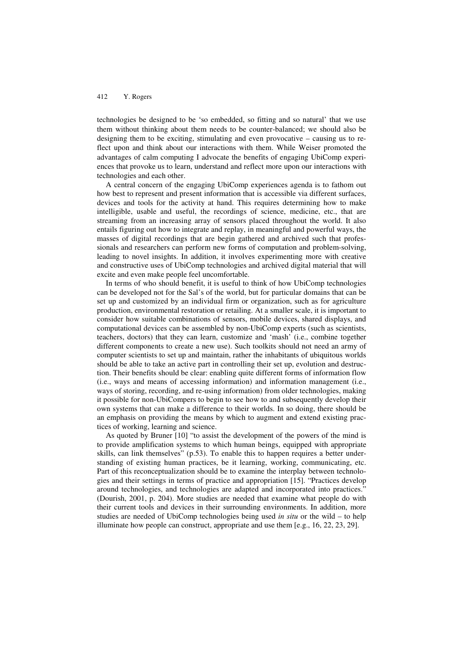technologies be designed to be 'so embedded, so fitting and so natural' that we use them without thinking about them needs to be counter-balanced; we should also be designing them to be exciting, stimulating and even provocative – causing us to reflect upon and think about our interactions with them. While Weiser promoted the advantages of calm computing I advocate the benefits of engaging UbiComp experiences that provoke us to learn, understand and reflect more upon our interactions with technologies and each other.

A central concern of the engaging UbiComp experiences agenda is to fathom out how best to represent and present information that is accessible via different surfaces, devices and tools for the activity at hand. This requires determining how to make intelligible, usable and useful, the recordings of science, medicine, etc., that are streaming from an increasing array of sensors placed throughout the world. It also entails figuring out how to integrate and replay, in meaningful and powerful ways, the masses of digital recordings that are begin gathered and archived such that professionals and researchers can perform new forms of computation and problem-solving, leading to novel insights. In addition, it involves experimenting more with creative and constructive uses of UbiComp technologies and archived digital material that will excite and even make people feel uncomfortable.

In terms of who should benefit, it is useful to think of how UbiComp technologies can be developed not for the Sal's of the world, but for particular domains that can be set up and customized by an individual firm or organization, such as for agriculture production, environmental restoration or retailing. At a smaller scale, it is important to consider how suitable combinations of sensors, mobile devices, shared displays, and computational devices can be assembled by non-UbiComp experts (such as scientists, teachers, doctors) that they can learn, customize and 'mash' (i.e., combine together different components to create a new use). Such toolkits should not need an army of computer scientists to set up and maintain, rather the inhabitants of ubiquitous worlds should be able to take an active part in controlling their set up, evolution and destruction. Their benefits should be clear: enabling quite different forms of information flow (i.e., ways and means of accessing information) and information management (i.e., ways of storing, recording, and re-using information) from older technologies, making it possible for non-UbiCompers to begin to see how to and subsequently develop their own systems that can make a difference to their worlds. In so doing, there should be an emphasis on providing the means by which to augment and extend existing practices of working, learning and science.

As quoted by Bruner [10] "to assist the development of the powers of the mind is to provide amplification systems to which human beings, equipped with appropriate skills, can link themselves" (p.53). To enable this to happen requires a better understanding of existing human practices, be it learning, working, communicating, etc. Part of this reconceptualization should be to examine the interplay between technologies and their settings in terms of practice and appropriation [15]. "Practices develop around technologies, and technologies are adapted and incorporated into practices." (Dourish, 2001, p. 204). More studies are needed that examine what people do with their current tools and devices in their surrounding environments. In addition, more studies are needed of UbiComp technologies being used *in situ* or the wild – to help illuminate how people can construct, appropriate and use them [e.g., 16, 22, 23, 29].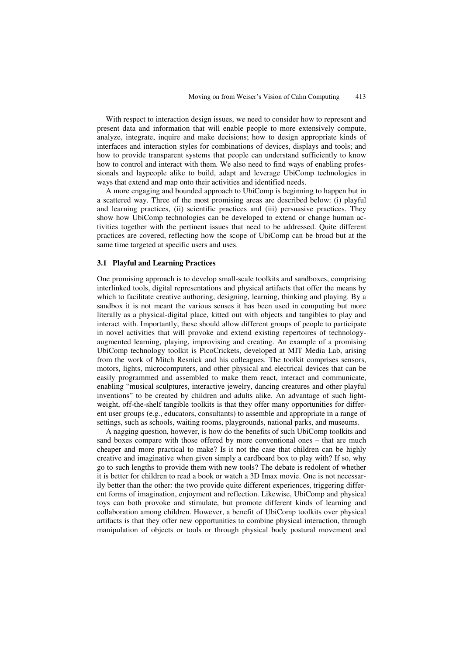With respect to interaction design issues, we need to consider how to represent and present data and information that will enable people to more extensively compute, analyze, integrate, inquire and make decisions; how to design appropriate kinds of interfaces and interaction styles for combinations of devices, displays and tools; and how to provide transparent systems that people can understand sufficiently to know how to control and interact with them. We also need to find ways of enabling professionals and laypeople alike to build, adapt and leverage UbiComp technologies in ways that extend and map onto their activities and identified needs.

A more engaging and bounded approach to UbiComp is beginning to happen but in a scattered way. Three of the most promising areas are described below: (i) playful and learning practices, (ii) scientific practices and (iii) persuasive practices. They show how UbiComp technologies can be developed to extend or change human activities together with the pertinent issues that need to be addressed. Quite different practices are covered, reflecting how the scope of UbiComp can be broad but at the same time targeted at specific users and uses.

#### **3.1 Playful and Learning Practices**

One promising approach is to develop small-scale toolkits and sandboxes, comprising interlinked tools, digital representations and physical artifacts that offer the means by which to facilitate creative authoring, designing, learning, thinking and playing. By a sandbox it is not meant the various senses it has been used in computing but more literally as a physical-digital place, kitted out with objects and tangibles to play and interact with. Importantly, these should allow different groups of people to participate in novel activities that will provoke and extend existing repertoires of technologyaugmented learning, playing, improvising and creating. An example of a promising UbiComp technology toolkit is PicoCrickets, developed at MIT Media Lab, arising from the work of Mitch Resnick and his colleagues. The toolkit comprises sensors, motors, lights, microcomputers, and other physical and electrical devices that can be easily programmed and assembled to make them react, interact and communicate, enabling "musical sculptures, interactive jewelry, dancing creatures and other playful inventions" to be created by children and adults alike. An advantage of such lightweight, off-the-shelf tangible toolkits is that they offer many opportunities for different user groups (e.g., educators, consultants) to assemble and appropriate in a range of settings, such as schools, waiting rooms, playgrounds, national parks, and museums.

A nagging question, however, is how do the benefits of such UbiComp toolkits and sand boxes compare with those offered by more conventional ones – that are much cheaper and more practical to make? Is it not the case that children can be highly creative and imaginative when given simply a cardboard box to play with? If so, why go to such lengths to provide them with new tools? The debate is redolent of whether it is better for children to read a book or watch a 3D Imax movie. One is not necessarily better than the other: the two provide quite different experiences, triggering different forms of imagination, enjoyment and reflection. Likewise, UbiComp and physical toys can both provoke and stimulate, but promote different kinds of learning and collaboration among children. However, a benefit of UbiComp toolkits over physical artifacts is that they offer new opportunities to combine physical interaction, through manipulation of objects or tools or through physical body postural movement and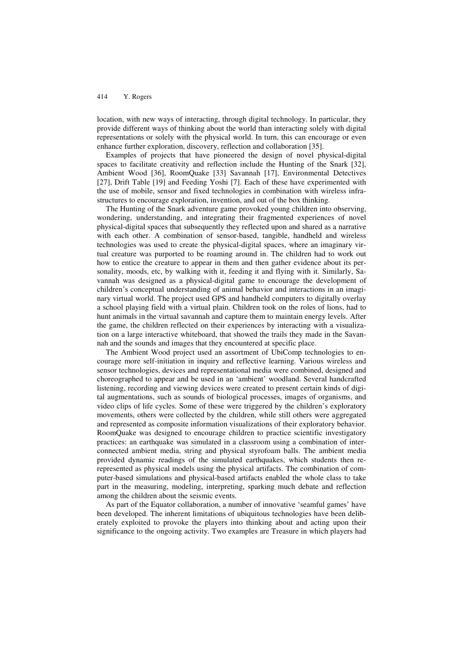location, with new ways of interacting, through digital technology. In particular, they provide different ways of thinking about the world than interacting solely with digital representations or solely with the physical world. In turn, this can encourage or even enhance further exploration, discovery, reflection and collaboration [35].

Examples of projects that have pioneered the design of novel physical-digital spaces to facilitate creativity and reflection include the Hunting of the Snark [32], Ambient Wood [36], RoomQuake [33] Savannah [17], Environmental Detectives [27], Drift Table [19] and Feeding Yoshi [7]. Each of these have experimented with the use of mobile, sensor and fixed technologies in combination with wireless infrastructures to encourage exploration, invention, and out of the box thinking.

The Hunting of the Snark adventure game provoked young children into observing, wondering, understanding, and integrating their fragmented experiences of novel physical-digital spaces that subsequently they reflected upon and shared as a narrative with each other. A combination of sensor-based, tangible, handheld and wireless technologies was used to create the physical-digital spaces, where an imaginary virtual creature was purported to be roaming around in. The children had to work out how to entice the creature to appear in them and then gather evidence about its personality, moods, etc, by walking with it, feeding it and flying with it. Similarly, Savannah was designed as a physical-digital game to encourage the development of children's conceptual understanding of animal behavior and interactions in an imaginary virtual world. The project used GPS and handheld computers to digitally overlay a school playing field with a virtual plain. Children took on the roles of lions, had to hunt animals in the virtual savannah and capture them to maintain energy levels. After the game, the children reflected on their experiences by interacting with a visualization on a large interactive whiteboard, that showed the trails they made in the Savannah and the sounds and images that they encountered at specific place.

The Ambient Wood project used an assortment of UbiComp technologies to encourage more self-initiation in inquiry and reflective learning. Various wireless and sensor technologies, devices and representational media were combined, designed and choreographed to appear and be used in an 'ambient' woodland. Several handcrafted listening, recording and viewing devices were created to present certain kinds of digital augmentations, such as sounds of biological processes, images of organisms, and video clips of life cycles. Some of these were triggered by the children's exploratory movements, others were collected by the children, while still others were aggregated and represented as composite information visualizations of their exploratory behavior. RoomQuake was designed to encourage children to practice scientific investigatory practices: an earthquake was simulated in a classroom using a combination of interconnected ambient media, string and physical styrofoam balls. The ambient media provided dynamic readings of the simulated earthquakes, which students then rerepresented as physical models using the physical artifacts. The combination of computer-based simulations and physical-based artifacts enabled the whole class to take part in the measuring, modeling, interpreting, sparking much debate and reflection among the children about the seismic events.

As part of the Equator collaboration, a number of innovative 'seamful games' have been developed. The inherent limitations of ubiquitous technologies have been deliberately exploited to provoke the players into thinking about and acting upon their significance to the ongoing activity. Two examples are Treasure in which players had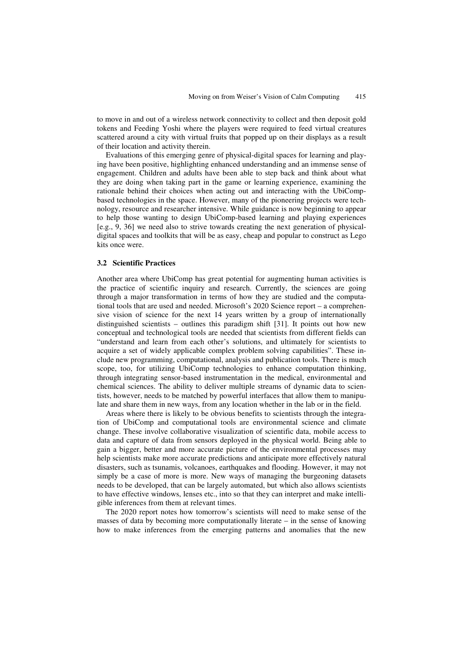to move in and out of a wireless network connectivity to collect and then deposit gold tokens and Feeding Yoshi where the players were required to feed virtual creatures scattered around a city with virtual fruits that popped up on their displays as a result of their location and activity therein.

Evaluations of this emerging genre of physical-digital spaces for learning and playing have been positive, highlighting enhanced understanding and an immense sense of engagement. Children and adults have been able to step back and think about what they are doing when taking part in the game or learning experience, examining the rationale behind their choices when acting out and interacting with the UbiCompbased technologies in the space. However, many of the pioneering projects were technology, resource and researcher intensive. While guidance is now beginning to appear to help those wanting to design UbiComp-based learning and playing experiences [e.g., 9, 36] we need also to strive towards creating the next generation of physicaldigital spaces and toolkits that will be as easy, cheap and popular to construct as Lego kits once were.

## **3.2 Scientific Practices**

Another area where UbiComp has great potential for augmenting human activities is the practice of scientific inquiry and research. Currently, the sciences are going through a major transformation in terms of how they are studied and the computational tools that are used and needed. Microsoft's 2020 Science report – a comprehensive vision of science for the next 14 years written by a group of internationally distinguished scientists – outlines this paradigm shift [31]. It points out how new conceptual and technological tools are needed that scientists from different fields can "understand and learn from each other's solutions, and ultimately for scientists to acquire a set of widely applicable complex problem solving capabilities". These include new programming, computational, analysis and publication tools. There is much scope, too, for utilizing UbiComp technologies to enhance computation thinking, through integrating sensor-based instrumentation in the medical, environmental and chemical sciences. The ability to deliver multiple streams of dynamic data to scientists, however, needs to be matched by powerful interfaces that allow them to manipulate and share them in new ways, from any location whether in the lab or in the field.

Areas where there is likely to be obvious benefits to scientists through the integration of UbiComp and computational tools are environmental science and climate change. These involve collaborative visualization of scientific data, mobile access to data and capture of data from sensors deployed in the physical world. Being able to gain a bigger, better and more accurate picture of the environmental processes may help scientists make more accurate predictions and anticipate more effectively natural disasters, such as tsunamis, volcanoes, earthquakes and flooding. However, it may not simply be a case of more is more. New ways of managing the burgeoning datasets needs to be developed, that can be largely automated, but which also allows scientists to have effective windows, lenses etc., into so that they can interpret and make intelligible inferences from them at relevant times.

The 2020 report notes how tomorrow's scientists will need to make sense of the masses of data by becoming more computationally literate – in the sense of knowing how to make inferences from the emerging patterns and anomalies that the new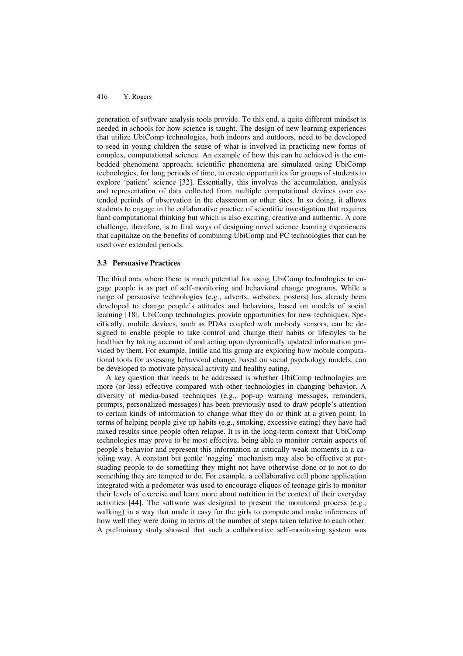generation of software analysis tools provide. To this end, a quite different mindset is needed in schools for how science is taught. The design of new learning experiences that utilize UbiComp technologies, both indoors and outdoors, need to be developed to seed in young children the sense of what is involved in practicing new forms of complex, computational science. An example of how this can be achieved is the embedded phenomena approach; scientific phenomena are simulated using UbiComp technologies, for long periods of time, to create opportunities for groups of students to explore 'patient' science [32]. Essentially, this involves the accumulation, analysis and representation of data collected from multiple computational devices over extended periods of observation in the classroom or other sites. In so doing, it allows students to engage in the collaborative practice of scientific investigation that requires hard computational thinking but which is also exciting, creative and authentic. A core challenge, therefore, is to find ways of designing novel science learning experiences that capitalize on the benefits of combining UbiComp and PC technologies that can be used over extended periods.

#### **3.3 Persuasive Practices**

The third area where there is much potential for using UbiComp technologies to engage people is as part of self-monitoring and behavioral change programs. While a range of persuasive technologies (e.g., adverts, websites, posters) has already been developed to change people's attitudes and behaviors, based on models of social learning [18], UbiComp technologies provide opportunities for new techniques. Specifically, mobile devices, such as PDAs coupled with on-body sensors, can be designed to enable people to take control and change their habits or lifestyles to be healthier by taking account of and acting upon dynamically updated information provided by them. For example, Intille and his group are exploring how mobile computational tools for assessing behavioral change, based on social psychology models, can be developed to motivate physical activity and healthy eating.

A key question that needs to be addressed is whether UbiComp technologies are more (or less) effective compared with other technologies in changing behavior. A diversity of media-based techniques (e.g., pop-up warning messages, reminders, prompts, personalized messages) has been previously used to draw people's attention to certain kinds of information to change what they do or think at a given point. In terms of helping people give up habits (e.g., smoking, excessive eating) they have had mixed results since people often relapse. It is in the long-term context that UbiComp technologies may prove to be most effective, being able to monitor certain aspects of people's behavior and represent this information at critically weak moments in a cajoling way. A constant but gentle 'nagging' mechanism may also be effective at persuading people to do something they might not have otherwise done or to not to do something they are tempted to do. For example, a collaborative cell phone application integrated with a pedometer was used to encourage cliques of teenage girls to monitor their levels of exercise and learn more about nutrition in the context of their everyday activities [44]. The software was designed to present the monitored process (e.g., walking) in a way that made it easy for the girls to compute and make inferences of how well they were doing in terms of the number of steps taken relative to each other. A preliminary study showed that such a collaborative self-monitoring system was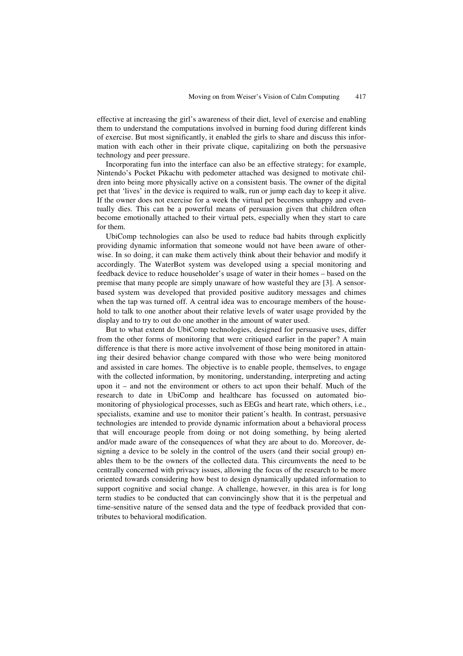effective at increasing the girl's awareness of their diet, level of exercise and enabling them to understand the computations involved in burning food during different kinds of exercise. But most significantly, it enabled the girls to share and discuss this information with each other in their private clique, capitalizing on both the persuasive technology and peer pressure.

Incorporating fun into the interface can also be an effective strategy; for example, Nintendo's Pocket Pikachu with pedometer attached was designed to motivate children into being more physically active on a consistent basis. The owner of the digital pet that 'lives' in the device is required to walk, run or jump each day to keep it alive. If the owner does not exercise for a week the virtual pet becomes unhappy and eventually dies. This can be a powerful means of persuasion given that children often become emotionally attached to their virtual pets, especially when they start to care for them.

UbiComp technologies can also be used to reduce bad habits through explicitly providing dynamic information that someone would not have been aware of otherwise. In so doing, it can make them actively think about their behavior and modify it accordingly. The WaterBot system was developed using a special monitoring and feedback device to reduce householder's usage of water in their homes – based on the premise that many people are simply unaware of how wasteful they are [3]. A sensorbased system was developed that provided positive auditory messages and chimes when the tap was turned off. A central idea was to encourage members of the household to talk to one another about their relative levels of water usage provided by the display and to try to out do one another in the amount of water used.

But to what extent do UbiComp technologies, designed for persuasive uses, differ from the other forms of monitoring that were critiqued earlier in the paper? A main difference is that there is more active involvement of those being monitored in attaining their desired behavior change compared with those who were being monitored and assisted in care homes. The objective is to enable people, themselves, to engage with the collected information, by monitoring, understanding, interpreting and acting upon it – and not the environment or others to act upon their behalf. Much of the research to date in UbiComp and healthcare has focussed on automated biomonitoring of physiological processes, such as EEGs and heart rate, which others, i.e., specialists, examine and use to monitor their patient's health. In contrast, persuasive technologies are intended to provide dynamic information about a behavioral process that will encourage people from doing or not doing something, by being alerted and/or made aware of the consequences of what they are about to do. Moreover, designing a device to be solely in the control of the users (and their social group) enables them to be the owners of the collected data. This circumvents the need to be centrally concerned with privacy issues, allowing the focus of the research to be more oriented towards considering how best to design dynamically updated information to support cognitive and social change. A challenge, however, in this area is for long term studies to be conducted that can convincingly show that it is the perpetual and time-sensitive nature of the sensed data and the type of feedback provided that contributes to behavioral modification.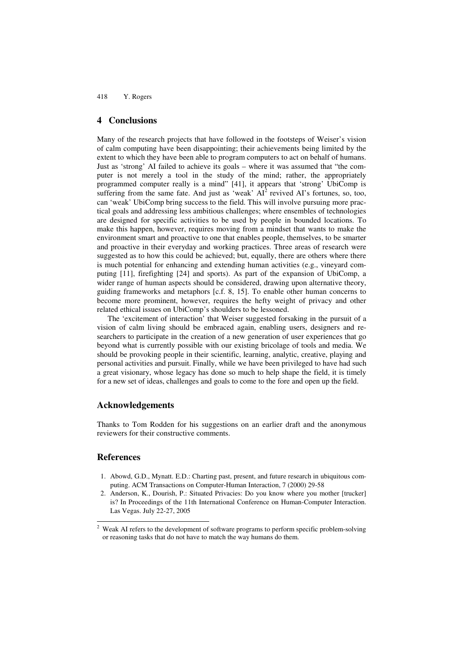## **4 Conclusions**

Many of the research projects that have followed in the footsteps of Weiser's vision of calm computing have been disappointing; their achievements being limited by the extent to which they have been able to program computers to act on behalf of humans. Just as 'strong' AI failed to achieve its goals – where it was assumed that "the computer is not merely a tool in the study of the mind; rather, the appropriately programmed computer really is a mind" [41], it appears that 'strong' UbiComp is suffering from the same fate. And just as 'weak'  $AI<sup>2</sup>$  revived AI's fortunes, so, too, can 'weak' UbiComp bring success to the field. This will involve pursuing more practical goals and addressing less ambitious challenges; where ensembles of technologies are designed for specific activities to be used by people in bounded locations. To make this happen, however, requires moving from a mindset that wants to make the environment smart and proactive to one that enables people, themselves, to be smarter and proactive in their everyday and working practices. Three areas of research were suggested as to how this could be achieved; but, equally, there are others where there is much potential for enhancing and extending human activities (e.g., vineyard computing [11], firefighting [24] and sports). As part of the expansion of UbiComp, a wider range of human aspects should be considered, drawing upon alternative theory, guiding frameworks and metaphors [c.f. 8, 15]. To enable other human concerns to become more prominent, however, requires the hefty weight of privacy and other related ethical issues on UbiComp's shoulders to be lessoned.

The 'excitement of interaction' that Weiser suggested forsaking in the pursuit of a vision of calm living should be embraced again, enabling users, designers and researchers to participate in the creation of a new generation of user experiences that go beyond what is currently possible with our existing bricolage of tools and media. We should be provoking people in their scientific, learning, analytic, creative, playing and personal activities and pursuit. Finally, while we have been privileged to have had such a great visionary, whose legacy has done so much to help shape the field, it is timely for a new set of ideas, challenges and goals to come to the fore and open up the field.

# **Acknowledgements**

Thanks to Tom Rodden for his suggestions on an earlier draft and the anonymous reviewers for their constructive comments.

# **References**

- 1. Abowd, G.D., Mynatt. E.D.: Charting past, present, and future research in ubiquitous computing. ACM Transactions on Computer-Human Interaction, 7 (2000) 29-58
- 2. Anderson, K., Dourish, P.: Situated Privacies: Do you know where you mother [trucker] is? In Proceedings of the 11th International Conference on Human-Computer Interaction. Las Vegas. July 22-27, 2005

<sup>&</sup>lt;sup>2</sup> Weak AI refers to the development of software programs to perform specific problem-solving or reasoning tasks that do not have to match the way humans do them.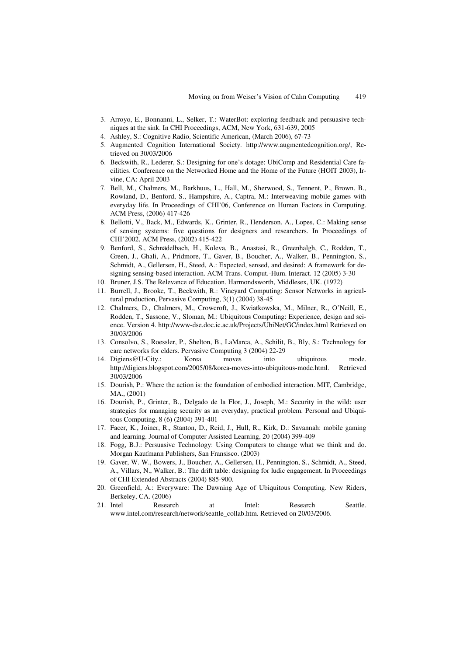- 3. Arroyo, E., Bonnanni, L., Selker, T.: WaterBot: exploring feedback and persuasive techniques at the sink. In CHI Proceedings, ACM, New York, 631-639, 2005
- 4. Ashley, S.: Cognitive Radio, Scientific American, (March 2006), 67-73
- 5. Augmented Cognition International Society. http://www.augmentedcognition.org/, Retrieved on 30/03/2006
- 6. Beckwith, R., Lederer, S.: Designing for one's dotage: UbiComp and Residential Care facilities. Conference on the Networked Home and the Home of the Future (HOIT 2003), Irvine, CA: April 2003
- 7. Bell, M., Chalmers, M., Barkhuus, L., Hall, M., Sherwood, S., Tennent, P., Brown. B., Rowland, D., Benford, S., Hampshire, A., Captra, M.: Interweaving mobile games with everyday life. In Proceedings of CHI'06, Conference on Human Factors in Computing. ACM Press, (2006) 417-426
- 8. Bellotti, V., Back, M., Edwards, K., Grinter, R., Henderson. A., Lopes, C.: Making sense of sensing systems: five questions for designers and researchers. In Proceedings of CHI'2002, ACM Press, (2002) 415-422
- 9. Benford, S., Schnädelbach, H., Koleva, B., Anastasi, R., Greenhalgh, C., Rodden, T., Green, J., Ghali, A., Pridmore, T., Gaver, B., Boucher, A., Walker, B., Pennington, S., Schmidt, A., Gellersen, H., Steed, A.: Expected, sensed, and desired: A framework for designing sensing-based interaction. ACM Trans. Comput.-Hum. Interact. 12 (2005) 3-30
- 10. Bruner, J.S. The Relevance of Education. Harmondsworth, Middlesex, UK. (1972)
- 11. Burrell, J., Brooke, T., Beckwith, R.: Vineyard Computing: Sensor Networks in agricultural production, Pervasive Computing, 3(1) (2004) 38-45
- 12. Chalmers, D., Chalmers, M., Crowcroft, J., Kwiatkowska, M., Milner, R., O'Neill, E., Rodden, T., Sassone, V., Sloman, M.: Ubiquitous Computing: Experience, design and science. Version 4. http://www-dse.doc.ic.ac.uk/Projects/UbiNet/GC/index.html Retrieved on 30/03/2006
- 13. Consolvo, S., Roessler, P., Shelton, B., LaMarca, A., Schilit, B., Bly, S.: Technology for care networks for elders. Pervasive Computing 3 (2004) 22-29
- 14. Digiens@U-City.: Korea moves into ubiquitous mode. http://digiens.blogspot.com/2005/08/korea-moves-into-ubiquitous-mode.html. Retrieved 30/03/2006
- 15. Dourish, P.: Where the action is: the foundation of embodied interaction. MIT, Cambridge, MA., (2001)
- 16. Dourish, P., Grinter, B., Delgado de la Flor, J., Joseph, M.: Security in the wild: user strategies for managing security as an everyday, practical problem. Personal and Ubiquitous Computing, 8 (6) (2004) 391-401
- 17. Facer, K., Joiner, R., Stanton, D., Reid, J., Hull, R., Kirk, D.: Savannah: mobile gaming and learning. Journal of Computer Assisted Learning, 20 (2004) 399-409
- 18. Fogg, B.J.: Persuasive Technology: Using Computers to change what we think and do. Morgan Kaufmann Publishers, San Fransisco. (2003)
- 19. Gaver, W. W., Bowers, J., Boucher, A., Gellersen, H., Pennington, S., Schmidt, A., Steed, A., Villars, N., Walker, B.: The drift table: designing for ludic engagement. In Proceedings of CHI Extended Abstracts (2004) 885-900.
- 20. Greenfield, A.: Everyware: The Dawning Age of Ubiquitous Computing. New Riders, Berkeley, CA. (2006)
- 21. Intel Research at Intel: Research Seattle. www.intel.com/research/network/seattle\_collab.htm. Retrieved on 20/03/2006.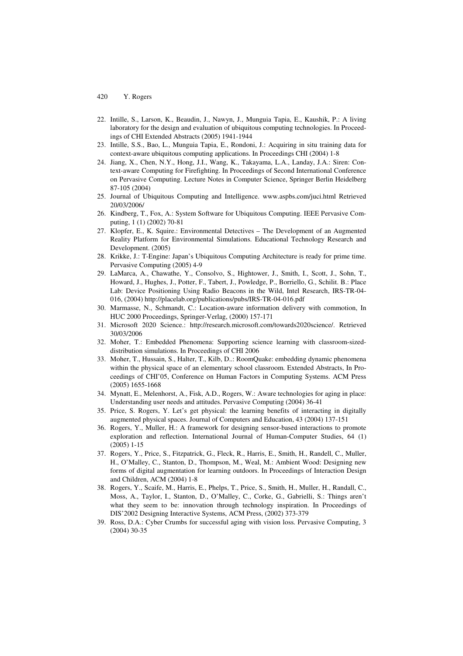- 22. Intille, S., Larson, K., Beaudin, J., Nawyn, J., Munguia Tapia, E., Kaushik, P.: A living laboratory for the design and evaluation of ubiquitous computing technologies. In Proceedings of CHI Extended Abstracts (2005) 1941-1944
- 23. Intille, S.S., Bao, L., Munguia Tapia, E., Rondoni, J.: Acquiring in situ training data for context-aware ubiquitous computing applications. In Proceedings CHI (2004) 1-8
- 24. Jiang, X., Chen, N.Y., Hong, J.I., Wang, K., Takayama, L.A., Landay, J.A.: Siren: Context-aware Computing for Firefighting. In Proceedings of Second International Conference on Pervasive Computing. Lecture Notes in Computer Science, Springer Berlin Heidelberg 87-105 (2004)
- 25. Journal of Ubiquitous Computing and Intelligence. www.aspbs.com/juci.html Retrieved 20/03/2006/
- 26. Kindberg, T., Fox, A.: System Software for Ubiquitous Computing. IEEE Pervasive Computing, 1 (1) (2002) 70-81
- 27. Klopfer, E., K. Squire.: Environmental Detectives The Development of an Augmented Reality Platform for Environmental Simulations. Educational Technology Research and Development. (2005)
- 28. Krikke, J.: T-Engine: Japan's Ubiquitous Computing Architecture is ready for prime time. Pervasive Computing (2005) 4-9
- 29. LaMarca, A., Chawathe, Y., Consolvo, S., Hightower, J., Smith, I., Scott, J., Sohn, T., Howard, J., Hughes, J., Potter, F., Tabert, J., Powledge, P., Borriello, G., Schilit. B.: Place Lab: Device Positioning Using Radio Beacons in the Wild, Intel Research, IRS-TR-04- 016, (2004) http://placelab.org/publications/pubs/IRS-TR-04-016.pdf
- 30. Marmasse, N., Schmandt, C.: Location-aware information delivery with commotion, In HUC 2000 Proceedings, Springer-Verlag, (2000) 157-171
- 31. Microsoft 2020 Science.: http://research.microsoft.com/towards2020science/. Retrieved 30/03/2006
- 32. Moher, T.: Embedded Phenomena: Supporting science learning with classroom-sizeddistribution simulations. In Proceedings of CHI 2006
- 33. Moher, T., Hussain, S., Halter, T., Kilb, D..: RoomQuake: embedding dynamic phenomena within the physical space of an elementary school classroom. Extended Abstracts, In Proceedings of CHI'05, Conference on Human Factors in Computing Systems. ACM Press (2005) 1655-1668
- 34. Mynatt, E., Melenhorst, A., Fisk, A.D., Rogers, W.: Aware technologies for aging in place: Understanding user needs and attitudes. Pervasive Computing (2004) 36-41
- 35. Price, S. Rogers, Y. Let's get physical: the learning benefits of interacting in digitally augmented physical spaces. Journal of Computers and Education, 43 (2004) 137-151
- 36. Rogers, Y., Muller, H.: A framework for designing sensor-based interactions to promote exploration and reflection. International Journal of Human-Computer Studies, 64 (1) (2005) 1-15
- 37. Rogers, Y., Price, S., Fitzpatrick, G., Fleck, R., Harris, E., Smith, H., Randell, C., Muller, H., O'Malley, C., Stanton, D., Thompson, M., Weal, M.: Ambient Wood: Designing new forms of digital augmentation for learning outdoors. In Proceedings of Interaction Design and Children, ACM (2004) 1-8
- 38. Rogers, Y., Scaife, M., Harris, E., Phelps, T., Price, S., Smith, H., Muller, H., Randall, C., Moss, A., Taylor, I., Stanton, D., O'Malley, C., Corke, G., Gabrielli, S.: Things aren't what they seem to be: innovation through technology inspiration. In Proceedings of DIS'2002 Designing Interactive Systems, ACM Press, (2002) 373-379
- 39. Ross, D.A.: Cyber Crumbs for successful aging with vision loss. Pervasive Computing, 3 (2004) 30-35